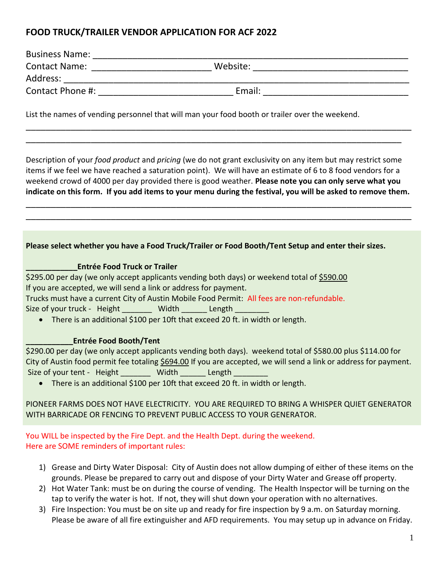# **FOOD TRUCK/TRAILER VENDOR APPLICATION FOR ACF 2022**

| <b>Business Name:</b> |          |  |
|-----------------------|----------|--|
| <b>Contact Name:</b>  | Website: |  |
| Address:              |          |  |
| Contact Phone #:      | Email:   |  |

List the names of vending personnel that will man your food booth or trailer over the weekend.

Description of your *food product* and *pricing* (we do not grant exclusivity on any item but may restrict some items if we feel we have reached a saturation point). We will have an estimate of 6 to 8 food vendors for a weekend crowd of 4000 per day provided there is good weather. **Please note you can only serve what you indicate on this form. If you add items to your menu during the festival, you will be asked to remove them.** 

\_\_\_\_\_\_\_\_\_\_\_\_\_\_\_\_\_\_\_\_\_\_\_\_\_\_\_\_\_\_\_\_\_\_\_\_\_\_\_\_\_\_\_\_\_\_\_\_\_\_\_\_\_\_\_\_\_\_\_\_\_\_\_\_\_\_\_\_\_\_\_\_\_\_\_\_\_ \_\_\_\_\_\_\_\_\_\_\_\_\_\_\_\_\_\_\_\_\_\_\_\_\_\_\_\_\_\_\_\_\_\_\_\_\_\_\_\_\_\_\_\_\_\_\_\_\_\_\_\_\_\_\_\_\_\_\_\_\_\_\_\_\_\_\_\_\_\_\_\_\_\_\_\_\_

\_\_\_\_\_\_\_\_\_\_\_\_\_\_\_\_\_\_\_\_\_\_\_\_\_\_\_\_\_\_\_\_\_\_\_\_\_\_\_\_\_\_\_\_\_\_\_\_\_\_\_\_\_\_\_\_\_\_\_\_\_\_\_\_\_\_\_\_\_\_\_\_\_\_\_\_\_ \_\_\_\_\_\_\_\_\_\_\_\_\_\_\_\_\_\_\_\_\_\_\_\_\_\_\_\_\_\_\_\_\_\_\_\_\_\_\_\_\_\_\_\_\_\_\_\_\_\_\_\_\_\_\_\_\_\_\_\_\_\_\_\_\_\_\_\_\_\_\_\_\_\_\_

### **Please select whether you have a Food Truck/Trailer or Food Booth/Tent Setup and enter their sizes.**

#### **\_\_\_\_\_\_\_\_\_\_\_\_Entrée Food Truck or Trailer**

\$295.00 per day (we only accept applicants vending both days) or weekend total of \$590.00 If you are accepted, we will send a link or address for payment. Trucks must have a current City of Austin Mobile Food Permit: All fees are non-refundable. Size of your truck - Height \_\_\_\_\_\_\_\_ Width \_\_\_\_\_\_ Length \_\_\_\_\_\_\_\_

• There is an additional \$100 per 10ft that exceed 20 ft. in width or length.

#### **\_\_\_\_\_\_\_\_\_\_\_Entrée Food Booth/Tent**

\$290.00 per day (we only accept applicants vending both days). weekend total of \$580.00 plus \$114.00 for City of Austin food permit fee totaling \$694.00 If you are accepted, we will send a link or address for payment. Size of your tent - Height \_\_\_\_\_\_\_\_ Width \_\_\_\_\_\_ Length \_\_\_

• There is an additional \$100 per 10ft that exceed 20 ft. in width or length.

PIONEER FARMS DOES NOT HAVE ELECTRICITY. YOU ARE REQUIRED TO BRING A WHISPER QUIET GENERATOR WITH BARRICADE OR FENCING TO PREVENT PUBLIC ACCESS TO YOUR GENERATOR.

You WILL be inspected by the Fire Dept. and the Health Dept. during the weekend. Here are SOME reminders of important rules:

- 1) Grease and Dirty Water Disposal: City of Austin does not allow dumping of either of these items on the grounds. Please be prepared to carry out and dispose of your Dirty Water and Grease off property.
- 2) Hot Water Tank: must be on during the course of vending. The Health Inspector will be turning on the tap to verify the water is hot. If not, they will shut down your operation with no alternatives.
- 3) Fire Inspection: You must be on site up and ready for fire inspection by 9 a.m. on Saturday morning. Please be aware of all fire extinguisher and AFD requirements. You may setup up in advance on Friday.